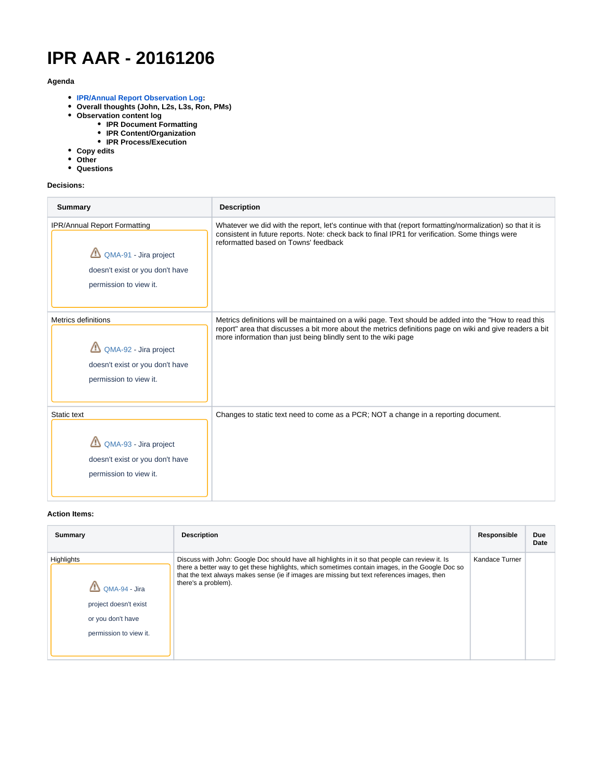# **IPR AAR - 20161206**

## **Agenda**

- **[IPR/Annual Report Observation Log:](https://docs.google.com/spreadsheets/d/1ztkbfg1yLPb4ssaHssxtlag417j8L37CWQcYYbhGwHQ/edit#gid=0)**
- **Overall thoughts (John, L2s, L3s, Ron, PMs)**
- **Observation content log**
	- **IPR Document Formatting**
		- **IPR Content/Organization**
		- **IPR Process/Execution**
- **Copy edits**
- **Other**
- **Questions**

# **Decisions:**

| <b>Summary</b>                                                                                                     | <b>Description</b>                                                                                                                                                                                                                                                                   |
|--------------------------------------------------------------------------------------------------------------------|--------------------------------------------------------------------------------------------------------------------------------------------------------------------------------------------------------------------------------------------------------------------------------------|
| IPR/Annual Report Formatting<br>QMA-91 - Jira project<br>doesn't exist or you don't have<br>permission to view it. | Whatever we did with the report, let's continue with that (report formatting/normalization) so that it is<br>consistent in future reports. Note: check back to final IPR1 for verification. Some things were<br>reformatted based on Towns' feedback                                 |
| Metrics definitions<br>QMA-92 - Jira project<br>doesn't exist or you don't have<br>permission to view it.          | Metrics definitions will be maintained on a wiki page. Text should be added into the "How to read this<br>report" area that discusses a bit more about the metrics definitions page on wiki and give readers a bit<br>more information than just being blindly sent to the wiki page |
| Static text<br>QMA-93 - Jira project<br>doesn't exist or you don't have<br>permission to view it.                  | Changes to static text need to come as a PCR; NOT a change in a reporting document.                                                                                                                                                                                                  |

## **Action Items:**

| Summary                                                                                                    | <b>Description</b>                                                                                                                                                                                                                                                                                                        | Responsible    | Due<br>Date |
|------------------------------------------------------------------------------------------------------------|---------------------------------------------------------------------------------------------------------------------------------------------------------------------------------------------------------------------------------------------------------------------------------------------------------------------------|----------------|-------------|
| <b>Highlights</b><br>QMA-94 - Jira<br>project doesn't exist<br>or you don't have<br>permission to view it. | Discuss with John: Google Doc should have all highlights in it so that people can review it. Is<br>there a better way to get these highlights, which sometimes contain images, in the Google Doc so<br>that the text always makes sense (ie if images are missing but text references images, then<br>there's a problem). | Kandace Turner |             |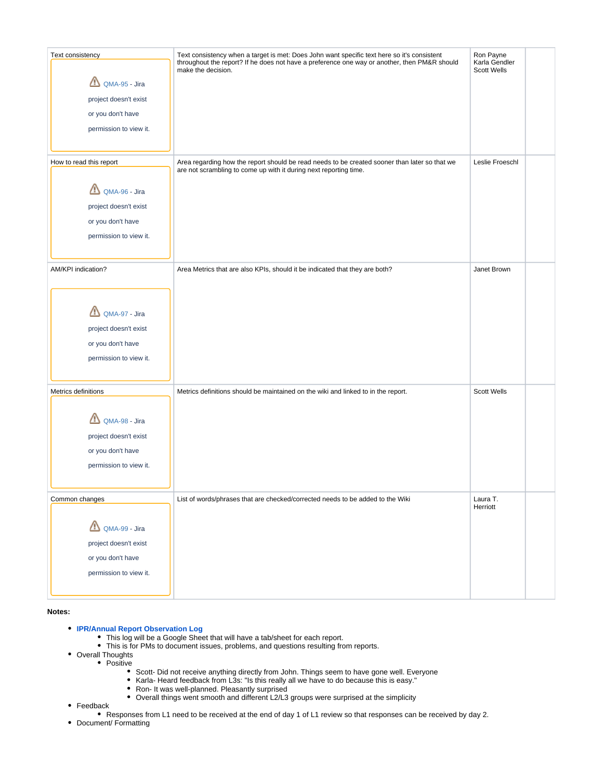| Ron Payne<br>Karla Gendler<br><b>Scott Wells</b> |
|--------------------------------------------------|
|                                                  |
|                                                  |
|                                                  |
|                                                  |
|                                                  |
|                                                  |
| Leslie Froeschl                                  |
|                                                  |
|                                                  |
|                                                  |
|                                                  |
|                                                  |
| Janet Brown                                      |
|                                                  |
|                                                  |
|                                                  |
|                                                  |
|                                                  |
|                                                  |
|                                                  |
|                                                  |
| <b>Scott Wells</b>                               |
|                                                  |
|                                                  |
|                                                  |
|                                                  |
|                                                  |
|                                                  |
| Laura T.                                         |
| Herriott                                         |
|                                                  |
|                                                  |
|                                                  |
|                                                  |
|                                                  |

**Notes:**

- **[IPR/Annual Report Observation Log](https://docs.google.com/spreadsheets/d/1ztkbfg1yLPb4ssaHssxtlag417j8L37CWQcYYbhGwHQ/edit#gid=0)**
	- This log will be a Google Sheet that will have a tab/sheet for each report.
	- This is for PMs to document issues, problems, and questions resulting from reports.
- Overall Thoughts
	- Positive
		- Scott- Did not receive anything directly from John. Things seem to have gone well. Everyone
		- $\bullet$ Karla- Heard feedback from L3s: "Is this really all we have to do because this is easy."
		- $\bullet$ Ron- It was well-planned. Pleasantly surprised
		- Overall things went smooth and different L2/L3 groups were surprised at the simplicity
- Feedback
- Responses from L1 need to be received at the end of day 1 of L1 review so that responses can be received by day 2.
- Document/ Formatting